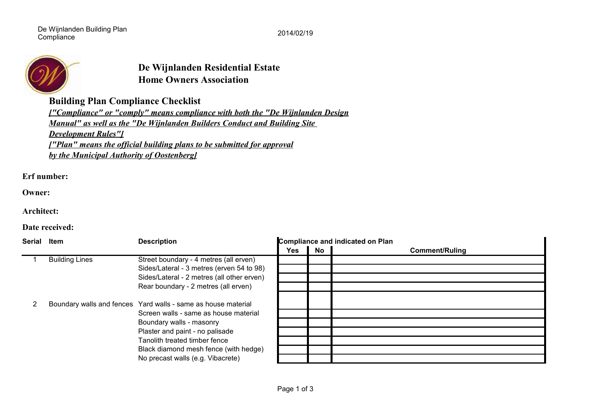De Wijnlanden Building Plan De vijfilanden Bullding Plan<br>Compliance 2014/02/19



## **Home Owners Association De Wijnlanden Residential Estate**

**Building Plan Compliance Checklist**

*Development Rules"] ["Plan" means the official building plans to be submitted for approval ["Compliance" or "comply" means compliance with both the "De Wijnlanden Design Manual" as well as the "De Wijnlanden Builders Conduct and Building Site by the Municipal Authority of Oostenberg]*

**Erf number:**

**Owner:**

**Architect:**

**Date received:**

| <b>Serial</b> | Item                  | <b>Description</b>                                            | <b>Compliance and indicated on Plan</b> |    |                       |
|---------------|-----------------------|---------------------------------------------------------------|-----------------------------------------|----|-----------------------|
|               |                       |                                                               | <b>Yes</b>                              | No | <b>Comment/Ruling</b> |
|               | <b>Building Lines</b> | Street boundary - 4 metres (all erven)                        |                                         |    |                       |
|               |                       | Sides/Lateral - 3 metres (erven 54 to 98)                     |                                         |    |                       |
|               |                       | Sides/Lateral - 2 metres (all other erven)                    |                                         |    |                       |
|               |                       | Rear boundary - 2 metres (all erven)                          |                                         |    |                       |
|               |                       | Boundary walls and fences Yard walls - same as house material |                                         |    |                       |
|               |                       | Screen walls - same as house material                         |                                         |    |                       |
|               |                       | Boundary walls - masonry                                      |                                         |    |                       |
|               |                       | Plaster and paint - no palisade                               |                                         |    |                       |
|               |                       | Tanolith treated timber fence                                 |                                         |    |                       |
|               |                       | Black diamond mesh fence (with hedge)                         |                                         |    |                       |
|               |                       | No precast walls (e.g. Vibacrete)                             |                                         |    |                       |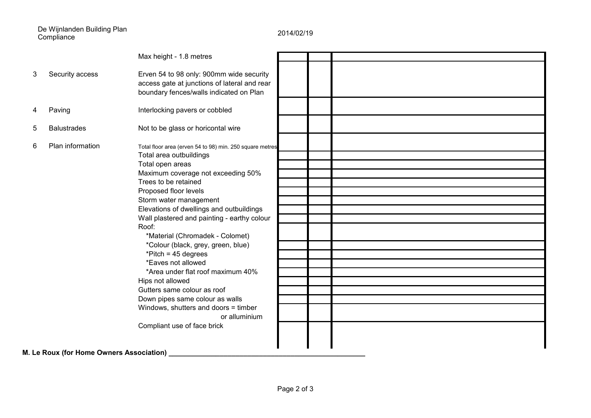De Wijnlanden Building Plan Compliance 2014/02/19

|                                            |                    | Max height - 1.8 metres                                                                                                                                                                                                                                                                                                                                                                                                                                                                                                                                                                                                                                                 |  |  |  |  |  |
|--------------------------------------------|--------------------|-------------------------------------------------------------------------------------------------------------------------------------------------------------------------------------------------------------------------------------------------------------------------------------------------------------------------------------------------------------------------------------------------------------------------------------------------------------------------------------------------------------------------------------------------------------------------------------------------------------------------------------------------------------------------|--|--|--|--|--|
| 3                                          | Security access    | Erven 54 to 98 only: 900mm wide security<br>access gate at junctions of lateral and rear<br>boundary fences/walls indicated on Plan                                                                                                                                                                                                                                                                                                                                                                                                                                                                                                                                     |  |  |  |  |  |
|                                            | Paving             | Interlocking pavers or cobbled                                                                                                                                                                                                                                                                                                                                                                                                                                                                                                                                                                                                                                          |  |  |  |  |  |
| 5                                          | <b>Balustrades</b> | Not to be glass or horicontal wire                                                                                                                                                                                                                                                                                                                                                                                                                                                                                                                                                                                                                                      |  |  |  |  |  |
| 6                                          | Plan information   | Total floor area (erven 54 to 98) min. 250 square metres<br>Total area outbuildings<br>Total open areas<br>Maximum coverage not exceeding 50%<br>Trees to be retained<br>Proposed floor levels<br>Storm water management<br>Elevations of dwellings and outbuildings<br>Wall plastered and painting - earthy colour<br>Roof:<br>*Material (Chromadek - Colomet)<br>*Colour (black, grey, green, blue)<br>*Pitch = $45$ degrees<br>*Eaves not allowed<br>*Area under flat roof maximum 40%<br>Hips not allowed<br>Gutters same colour as roof<br>Down pipes same colour as walls<br>Windows, shutters and doors = timber<br>or alluminium<br>Compliant use of face brick |  |  |  |  |  |
| M. Le Roux (for Home Owners Association) _ |                    |                                                                                                                                                                                                                                                                                                                                                                                                                                                                                                                                                                                                                                                                         |  |  |  |  |  |